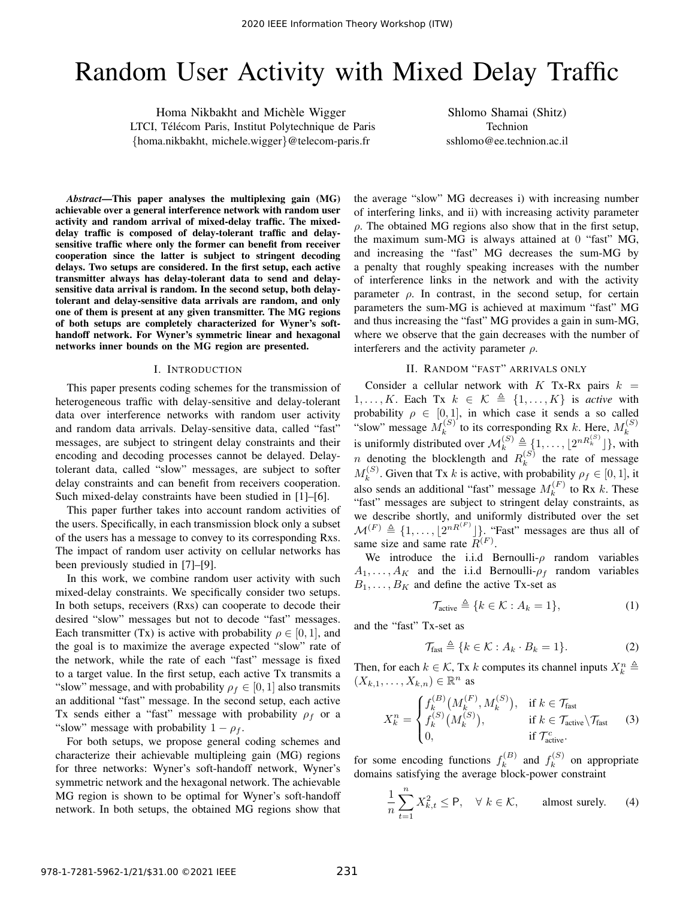# Random User Activity with Mixed Delay Traffic

Homa Nikbakht and Michèle Wigger LTCI, Télécom Paris, Institut Polytechnique de Paris {homa.nikbakht, michele.wigger}@telecom-paris.fr

Shlomo Shamai (Shitz) Technion sshlomo@ee.technion.ac.il

*Abstract*—This paper analyses the multiplexing gain (MG) achievable over a general interference network with random user activity and random arrival of mixed-delay traffic. The mixeddelay traffic is composed of delay-tolerant traffic and delaysensitive traffic where only the former can benefit from receiver cooperation since the latter is subject to stringent decoding delays. Two setups are considered. In the first setup, each active transmitter always has delay-tolerant data to send and delaysensitive data arrival is random. In the second setup, both delaytolerant and delay-sensitive data arrivals are random, and only one of them is present at any given transmitter. The MG regions of both setups are completely characterized for Wyner's softhandoff network. For Wyner's symmetric linear and hexagonal networks inner bounds on the MG region are presented.

## I. INTRODUCTION

This paper presents coding schemes for the transmission of heterogeneous traffic with delay-sensitive and delay-tolerant data over interference networks with random user activity and random data arrivals. Delay-sensitive data, called "fast" messages, are subject to stringent delay constraints and their encoding and decoding processes cannot be delayed. Delaytolerant data, called "slow" messages, are subject to softer delay constraints and can benefit from receivers cooperation. Such mixed-delay constraints have been studied in [1]–[6].

This paper further takes into account random activities of the users. Specifically, in each transmission block only a subset of the users has a message to convey to its corresponding Rxs. The impact of random user activity on cellular networks has been previously studied in [7]–[9].

In this work, we combine random user activity with such mixed-delay constraints. We specifically consider two setups. In both setups, receivers (Rxs) can cooperate to decode their desired "slow" messages but not to decode "fast" messages. Each transmitter (Tx) is active with probability  $\rho \in [0, 1]$ , and the goal is to maximize the average expected "slow" rate of the network, while the rate of each "fast" message is fixed to a target value. In the first setup, each active Tx transmits a "slow" message, and with probability  $\rho_f \in [0, 1]$  also transmits an additional "fast" message. In the second setup, each active Tx sends either a "fast" message with probability  $\rho_f$  or a "slow" message with probability  $1 - \rho_f$ .

For both setups, we propose general coding schemes and characterize their achievable multipleing gain (MG) regions for three networks: Wyner's soft-handoff network, Wyner's symmetric network and the hexagonal network. The achievable MG region is shown to be optimal for Wyner's soft-handoff network. In both setups, the obtained MG regions show that the average "slow" MG decreases i) with increasing number of interfering links, and ii) with increasing activity parameter  $\rho$ . The obtained MG regions also show that in the first setup, the maximum sum-MG is always attained at 0 "fast" MG, and increasing the "fast" MG decreases the sum-MG by a penalty that roughly speaking increases with the number of interference links in the network and with the activity parameter  $\rho$ . In contrast, in the second setup, for certain parameters the sum-MG is achieved at maximum "fast" MG and thus increasing the "fast" MG provides a gain in sum-MG, where we observe that the gain decreases with the number of interferers and the activity parameter  $\rho$ .

## II. RANDOM "FAST" ARRIVALS ONLY

Consider a cellular network with  $K$  Tx-Rx pairs  $k =$ 1, ..., K. Each Tx  $k \in \mathcal{K} \triangleq \{1, \ldots, K\}$  is *active* with probability  $\rho \in [0, 1]$ , in which case it sends a so called "slow" message  $M_k^{(S)}$  $k_k^{(S)}$  to its corresponding Rx k. Here,  $M_k^{(S)}$ k is uniformly distributed over  $\mathcal{M}_k^{(S)} \triangleq \{1, \ldots, \lfloor 2^{nR_k^{(S)}} \rfloor\}$ , with *n* denoting the blocklength and  $R_k^{(S)}$  $\binom{5}{k}$  the rate of message  $M_k^{(S)}$ <sup>(S)</sup>. Given that Tx k is active, with probability  $\rho_f \in [0, 1]$ , it also sends an additional "fast" message  $M_k^{(F)}$  $k^{(r)}$  to Rx k. These "fast" messages are subject to stringent delay constraints, as we describe shortly, and uniformly distributed over the set  $\mathcal{M}^{(F)} \triangleq \{1, \ldots, \lfloor 2^{nR^{(F)}} \rfloor\}.$  "Fast" messages are thus all of same size and same rate  $R^{(F)}$ .

We introduce the i.i.d Bernoulli- $\rho$  random variables  $A_1, \ldots, A_K$  and the i.i.d Bernoulli- $\rho_f$  random variables  $B_1, \ldots, B_K$  and define the active Tx-set as

$$
\mathcal{T}_{\text{active}} \triangleq \{ k \in \mathcal{K} : A_k = 1 \},\tag{1}
$$

and the "fast" Tx-set as

$$
\mathcal{T}_{\text{fast}} \triangleq \{ k \in \mathcal{K} : A_k \cdot B_k = 1 \}. \tag{2}
$$

Then, for each  $k \in \mathcal{K}$ , Tx k computes its channel inputs  $X_k^n \triangleq$  $(X_{k,1},\ldots,X_{k,n})\in\mathbb{R}^n$  as

$$
X_k^n = \begin{cases} f_k^{(B)}\big(M_k^{(F)}, M_k^{(S)}\big), & \text{if } k \in \mathcal{T}_{\text{fast}}\\ f_k^{(S)}\big(M_k^{(S)}\big), & \text{if } k \in \mathcal{T}_{\text{active}} \setminus \mathcal{T}_{\text{fast}}\\ 0, & \text{if } \mathcal{T}_{\text{active}}^c. \end{cases}
$$
(3)

for some encoding functions  $f_k^{(B)}$  $f_k^{(B)}$  and  $f_k^{(S)}$  $k^{(S)}$  on appropriate domains satisfying the average block-power constraint

$$
\frac{1}{n}\sum_{t=1}^{n} X_{k,t}^{2} \le P, \quad \forall \ k \in \mathcal{K}, \qquad \text{almost surely.} \tag{4}
$$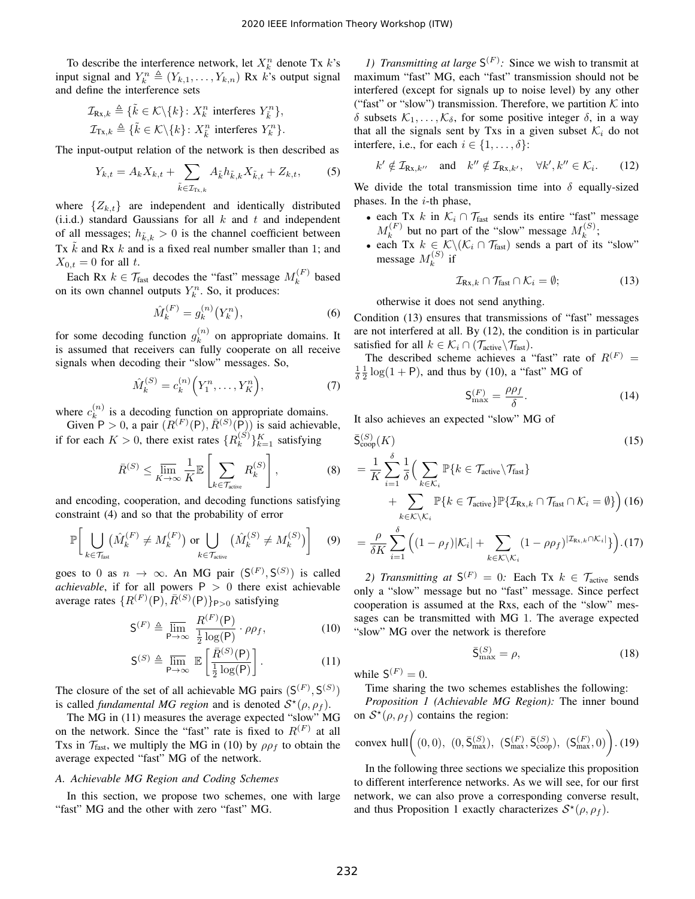To describe the interference network, let  $X_k^n$  denote Tx  $k$ 's input signal and  $Y_k^n \triangleq (Y_{k,1}, \ldots, Y_{k,n})$  Rx  $\hat{k}$ 's output signal and define the interference sets

$$
\mathcal{I}_{\text{Rx},k} \triangleq \{ \tilde{k} \in \mathcal{K} \backslash \{k\} \colon X_k^n \text{ interferes } Y_{\tilde{k}}^n \},
$$
  

$$
\mathcal{I}_{\text{Tx},k} \triangleq \{ \tilde{k} \in \mathcal{K} \backslash \{k\} \colon X_{\tilde{k}}^n \text{ interferes } Y_k^n \}.
$$

The input-output relation of the network is then described as

$$
Y_{k,t} = A_k X_{k,t} + \sum_{\tilde{k} \in \mathcal{I}_{\mathrm{T}_k,k}} A_{\tilde{k}} h_{\tilde{k},k} X_{\tilde{k},t} + Z_{k,t},\tag{5}
$$

where  $\{Z_{k,t}\}\$  are independent and identically distributed (i.i.d.) standard Gaussians for all  $k$  and  $t$  and independent of all messages;  $h_{\tilde{k},k} > 0$  is the channel coefficient between Tx  $\vec{k}$  and Rx  $k$  and is a fixed real number smaller than 1; and  $X_{0,t} = 0$  for all t.

Each Rx  $k \in \mathcal{T}_{\text{fast}}$  decodes the "fast" message  $M_k^{(F)}$  $k^{(r)}$  based on its own channel outputs  $Y_k^n$ . So, it produces:

$$
\hat{M}_k^{(F)} = g_k^{(n)}(Y_k^n),\tag{6}
$$

for some decoding function  $g_k^{(n)}$  $k^{(n)}$  on appropriate domains. It is assumed that receivers can fully cooperate on all receive signals when decoding their "slow" messages. So,

$$
\hat{M}_k^{(S)} = c_k^{(n)} \Big( Y_1^n, \dots, Y_K^n \Big), \tag{7}
$$

where  $c_k^{(n)}$  $\binom{n}{k}$  is a decoding function on appropriate domains.

Given  $P > 0$ , a pair  $(R^{(F)}(P), \overline{R}^{(S)}(P))$  is said achievable, if for each  $K > 0$ , there exist rates  $\{R_k^{(S)}\}$  $\binom{S}{k}$ <sub> $k=1$ </sub> satisfying

$$
\bar{R}^{(S)} \le \varlimsup_{K \to \infty} \frac{1}{K} \mathbb{E} \left[ \sum_{k \in \mathcal{T}_{\text{active}}} R_k^{(S)} \right],\tag{8}
$$

and encoding, cooperation, and decoding functions satisfying constraint (4) and so that the probability of error

$$
\mathbb{P}\bigg[\bigcup_{k\in\mathcal{T}_{\text{fast}}} (\hat{M}_k^{(F)} \neq M_k^{(F)}) \text{ or } \bigcup_{k\in\mathcal{T}_{\text{active}}} (\hat{M}_k^{(S)} \neq M_k^{(S)})\bigg] \quad (9)
$$

goes to 0 as  $n \to \infty$ . An MG pair  $(S^{(F)}, S^{(S)})$  is called *achievable*, if for all powers  $P > 0$  there exist achievable average rates  $\{R^{(F)}(P), \bar{R}^{(S)}(P)\}_{P>0}$  satisfying

$$
\mathsf{S}^{(F)} \triangleq \overline{\lim}_{\mathsf{P}\to\infty} \ \frac{R^{(F)}(\mathsf{P})}{\frac{1}{2}\log(\mathsf{P})} \cdot \rho \rho_f,\tag{10}
$$

$$
\mathsf{S}^{(S)} \triangleq \overline{\lim}_{\mathsf{P}\to\infty} \ \mathbb{E}\left[\frac{\bar{R}^{(S)}(\mathsf{P})}{\frac{1}{2}\log(\mathsf{P})}\right].\tag{11}
$$

The closure of the set of all achievable MG pairs  $(S^{(F)}, S^{(S)})$ is called *fundamental MG region* and is denoted  $S^*(\rho, \rho_f)$ .

The MG in (11) measures the average expected "slow" MG on the network. Since the "fast" rate is fixed to  $R<sup>(F)</sup>$  at all Txs in  $\mathcal{T}_{\text{fast}}$ , we multiply the MG in (10) by  $\rho \rho_f$  to obtain the average expected "fast" MG of the network.

## *A. Achievable MG Region and Coding Schemes*

In this section, we propose two schemes, one with large "fast" MG and the other with zero "fast" MG.

*1) Transmitting at large*  $S^{(F)}$ : Since we wish to transmit at maximum "fast" MG, each "fast" transmission should not be interfered (except for signals up to noise level) by any other ("fast" or "slow") transmission. Therefore, we partition  $K$  into δ subsets  $\mathcal{K}_1, \ldots, \mathcal{K}_\delta$ , for some positive integer δ, in a way that all the signals sent by Txs in a given subset  $\mathcal{K}_i$  do not interfere, i.e., for each  $i \in \{1, \ldots, \delta\}$ :

$$
k' \notin \mathcal{I}_{\mathbf{R}x,k''}
$$
 and  $k'' \notin \mathcal{I}_{\mathbf{R}x,k'}$ ,  $\forall k',k'' \in \mathcal{K}_i$ . (12)

We divide the total transmission time into  $\delta$  equally-sized phases. In the  $i$ -th phase,

- each Tx k in  $\mathcal{K}_i \cap \mathcal{T}_{\text{fast}}$  sends its entire "fast" message  $M_k^{(F)}$  $k_k^{(F)}$  but no part of the "slow" message  $M_k^{(S)}$  $\binom{5}{k}$ ;
- each Tx  $k \in \mathcal{K} \backslash (\mathcal{K}_i \cap \mathcal{T}_{\text{fast}})$  sends a part of its "slow" message  $M_k^{(S)}$  $\boldsymbol{h}^{(\mathcal{D})}$  if

$$
\mathcal{I}_{\text{Rx},k} \cap \mathcal{T}_{\text{fast}} \cap \mathcal{K}_i = \emptyset;
$$
 (13)

otherwise it does not send anything.

Condition (13) ensures that transmissions of "fast" messages are not interfered at all. By (12), the condition is in particular satisfied for all  $k \in \mathcal{K}_i \cap (\mathcal{T}_{\text{active}} \backslash \mathcal{T}_{\text{fast}})$ .

The described scheme achieves a "fast" rate of  $R<sup>(F)</sup>$  =  $\frac{1}{\delta}$  $\frac{1}{2}$  log(1 + P), and thus by (10), a "fast" MG of

$$
\mathsf{S}_{\max}^{(F)} = \frac{\rho \rho_f}{\delta}.\tag{14}
$$

It also achieves an expected "slow" MG of

$$
\bar{S}_{\text{coop}}^{(S)}(K)
$$
\n
$$
= \frac{1}{K} \sum_{i=1}^{\delta} \frac{1}{\delta} \Big( \sum_{k \in \mathcal{K}_i} \mathbb{P}\{k \in \mathcal{T}_{\text{active}} \setminus \mathcal{T}_{\text{fast}}\} + \sum_{k \in \mathcal{K} \setminus \mathcal{K}_i} \mathbb{P}\{k \in \mathcal{T}_{\text{active}}\} \mathbb{P}\{\mathcal{I}_{\text{Rx},k} \cap \mathcal{T}_{\text{fast}} \cap \mathcal{K}_i = \emptyset\} \Big) (16)
$$
\n
$$
= \frac{\rho}{\delta K} \sum_{i=1}^{\delta} \Big( (1 - \rho_f) |\mathcal{K}_i| + \sum_{k \in \mathcal{K} \setminus \mathcal{K}_i} (1 - \rho \rho_f)^{|\mathcal{I}_{\text{Rx},k} \cap \mathcal{K}_i|} \Big) \Big) (17)
$$

2) Transmitting at  $S^{(F)} = 0$ : Each Tx  $k \in \mathcal{T}_{\text{active}}$  sends only a "slow" message but no "fast" message. Since perfect cooperation is assumed at the Rxs, each of the "slow" messages can be transmitted with MG 1. The average expected "slow" MG over the network is therefore

$$
\bar{\mathsf{S}}_{\max}^{(S)} = \rho,\tag{18}
$$

while  $S^{(F)} = 0$ .

Time sharing the two schemes establishes the following:

*Proposition 1 (Achievable MG Region):* The inner bound on  $S^*(\rho, \rho_f)$  contains the region:

convex hull
$$
\bigg( (0,0), (0,\bar{S}_{\text{max}}^{(S)}), (S_{\text{max}}^{(F)},\bar{S}_{\text{coop}}^{(S)}), (S_{\text{max}}^{(F)},0) \bigg). (19)
$$

In the following three sections we specialize this proposition to different interference networks. As we will see, for our first network, we can also prove a corresponding converse result, and thus Proposition 1 exactly characterizes  $S^*(\rho, \rho_f)$ .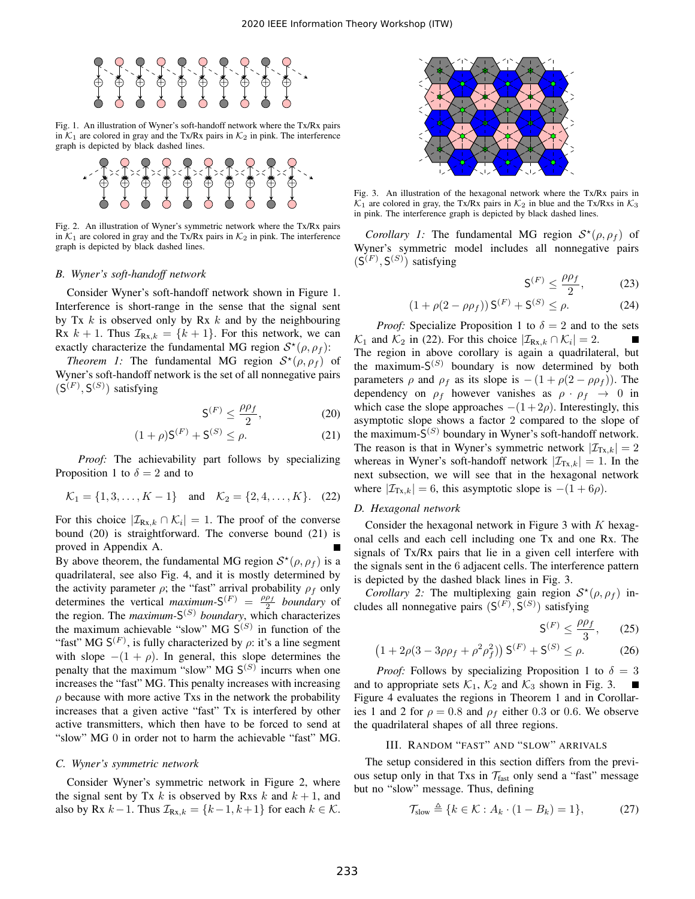

Fig. 1. An illustration of Wyner's soft-handoff network where the Tx/Rx pairs in  $K_1$  are colored in gray and the Tx/Rx pairs in  $K_2$  in pink. The interference graph is depicted by black dashed lines.



Fig. 2. An illustration of Wyner's symmetric network where the Tx/Rx pairs in  $K_1$  are colored in gray and the Tx/Rx pairs in  $K_2$  in pink. The interference graph is depicted by black dashed lines.

#### *B. Wyner's soft-handoff network*

Consider Wyner's soft-handoff network shown in Figure 1. Interference is short-range in the sense that the signal sent by Tx k is observed only by Rx k and by the neighbouring Rx  $k + 1$ . Thus  $\mathcal{I}_{Rx,k} = \{k+1\}$ . For this network, we can exactly characterize the fundamental MG region  $S^*(\rho, \rho_f)$ :

*Theorem 1:* The fundamental MG region  $S^*(\rho, \rho_f)$  of Wyner's soft-handoff network is the set of all nonnegative pairs  $(S^{(F)}, S^{(S)})$  satisfying

$$
\mathsf{S}^{(F)} \le \frac{\rho \rho_f}{2},\tag{20}
$$

$$
(1+\rho)\mathsf{S}^{(F)} + \mathsf{S}^{(S)} \le \rho. \tag{21}
$$

*Proof:* The achievability part follows by specializing Proposition 1 to  $\delta = 2$  and to

$$
\mathcal{K}_1 = \{1, 3, \dots, K - 1\} \text{ and } \mathcal{K}_2 = \{2, 4, \dots, K\}. \quad (22)
$$

For this choice  $|\mathcal{I}_{\text{Rx},k} \cap \mathcal{K}_i| = 1$ . The proof of the converse bound (20) is straightforward. The converse bound (21) is proved in Appendix A.

By above theorem, the fundamental MG region  $S^*(\rho, \rho_f)$  is a quadrilateral, see also Fig. 4, and it is mostly determined by the activity parameter  $\rho$ ; the "fast" arrival probability  $\rho_f$  only determines the vertical *maximum*- $S^{(F)} = \frac{\rho \rho_f}{2}$  *boundary* of the region. The *maximum-*S (S) *boundary*, which characterizes the maximum achievable "slow" MG  $S^{(S)}$  in function of the "fast" MG  $S<sup>(F)</sup>$ , is fully characterized by  $\rho$ : it's a line segment with slope  $-(1 + \rho)$ . In general, this slope determines the penalty that the maximum "slow" MG  $S^{(S)}$  incurrs when one increases the "fast" MG. This penalty increases with increasing  $\rho$  because with more active Txs in the network the probability increases that a given active "fast" Tx is interfered by other active transmitters, which then have to be forced to send at "slow" MG 0 in order not to harm the achievable "fast" MG.

#### *C. Wyner's symmetric network*

Consider Wyner's symmetric network in Figure 2, where the signal sent by Tx k is observed by Rxs k and  $k + 1$ , and also by Rx  $k-1$ . Thus  $\mathcal{I}_{Rx,k} = \{k-1, k+1\}$  for each  $k \in \mathcal{K}$ .



Fig. 3. An illustration of the hexagonal network where the Tx/Rx pairs in  $\mathcal{K}_1$  are colored in gray, the Tx/Rx pairs in  $\mathcal{K}_2$  in blue and the Tx/Rxs in  $\mathcal{K}_3$ in pink. The interference graph is depicted by black dashed lines.

*Corollary 1:* The fundamental MG region  $S^*(\rho, \rho_f)$  of Wyner's symmetric model includes all nonnegative pairs  $(S^{(F)}, S^{(S)})$  satisfying

$$
\mathsf{S}^{(F)} \le \frac{\rho \rho_f}{2},\tag{23}
$$

$$
(1 + \rho(2 - \rho \rho_f)) S^{(F)} + S^{(S)} \le \rho.
$$
 (24)

*Proof:* Specialize Proposition 1 to  $\delta = 2$  and to the sets  $\mathcal{K}_1$  and  $\mathcal{K}_2$  in (22). For this choice  $|\mathcal{I}_{\text{Rx},k} \cap \mathcal{K}_i| = 2$ . The region in above corollary is again a quadrilateral, but the maximum- $S^{(S)}$  boundary is now determined by both parameters  $\rho$  and  $\rho_f$  as its slope is  $-(1 + \rho(2 - \rho \rho_f))$ . The dependency on  $\rho_f$  however vanishes as  $\rho \cdot \rho_f \rightarrow 0$  in which case the slope approaches  $-(1+2\rho)$ . Interestingly, this asymptotic slope shows a factor 2 compared to the slope of the maximum- $S^{(S)}$  boundary in Wyner's soft-handoff network. The reason is that in Wyner's symmetric network  $|\mathcal{I}_{Tx,k}| = 2$ whereas in Wyner's soft-handoff network  $|\mathcal{I}_{Tx,k}| = 1$ . In the next subsection, we will see that in the hexagonal network where  $|\mathcal{I}_{Tx,k}| = 6$ , this asymptotic slope is  $-(1 + 6\rho)$ .

#### *D. Hexagonal network*

Consider the hexagonal network in Figure 3 with  $K$  hexagonal cells and each cell including one Tx and one Rx. The signals of Tx/Rx pairs that lie in a given cell interfere with the signals sent in the 6 adjacent cells. The interference pattern is depicted by the dashed black lines in Fig. 3.

*Corollary 2:* The multiplexing gain region  $S^*(\rho, \rho_f)$  includes all nonnegative pairs  $(S^{(F)}, S^{(S)})$  satisfying

$$
\mathsf{S}^{(F)} \le \frac{\rho \rho_f}{3},\qquad(25)
$$

$$
(1 + 2\rho(3 - 3\rho\rho_f + \rho^2\rho_f^2)) S^{(F)} + S^{(S)} \le \rho.
$$
 (26)

*Proof:* Follows by specializing Proposition 1 to  $\delta = 3$ and to appropriate sets  $\mathcal{K}_1$ ,  $\mathcal{K}_2$  and  $\mathcal{K}_3$  shown in Fig. 3. Figure 4 evaluates the regions in Theorem 1 and in Corollaries 1 and 2 for  $\rho = 0.8$  and  $\rho_f$  either 0.3 or 0.6. We observe the quadrilateral shapes of all three regions.

## III. RANDOM "FAST" AND "SLOW" ARRIVALS

The setup considered in this section differs from the previous setup only in that Txs in  $\mathcal{T}_{\text{fast}}$  only send a "fast" message but no "slow" message. Thus, defining

$$
\mathcal{T}_{\text{slow}} \triangleq \{ k \in \mathcal{K} : A_k \cdot (1 - B_k) = 1 \},\tag{27}
$$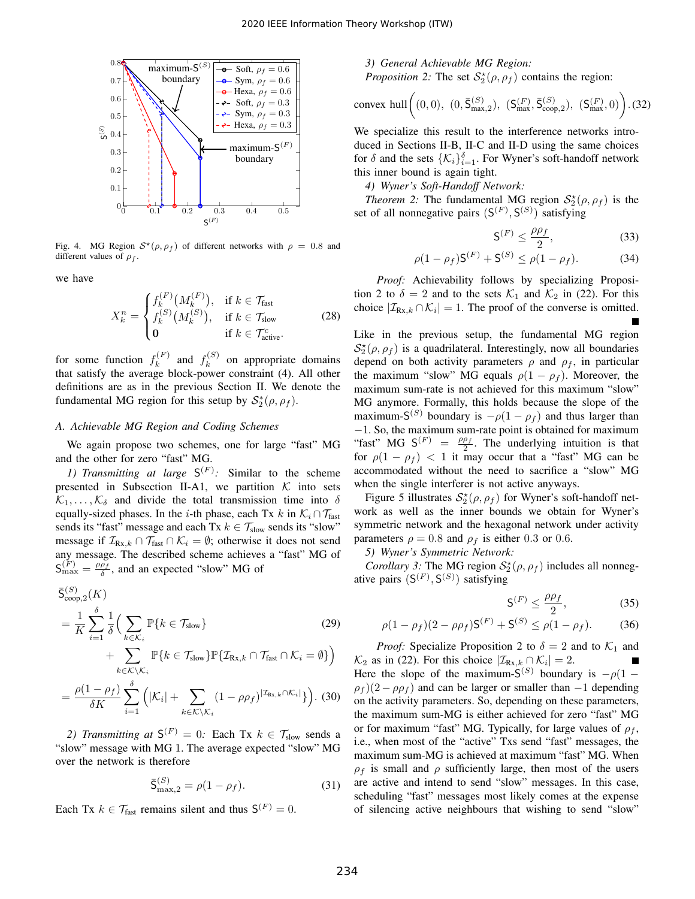

Fig. 4. MG Region  $S^*(\rho, \rho_f)$  of different networks with  $\rho = 0.8$  and different values of  $\rho_f$ .

we have

$$
X_{k}^{n} = \begin{cases} f_{k}^{(F)}\left(M_{k}^{(F)}\right), & \text{if } k \in \mathcal{T}_{\text{fast}}\\ f_{k}^{(S)}\left(M_{k}^{(S)}\right), & \text{if } k \in \mathcal{T}_{\text{slow}}\\ 0 & \text{if } k \in \mathcal{T}_{\text{active}}^{c}.\end{cases}
$$
(28)

for some function  $f_k^{(F)}$  $f_k^{(F)}$  and  $f_k^{(S)}$  $k^{(0)}$  on appropriate domains that satisfy the average block-power constraint (4). All other definitions are as in the previous Section II. We denote the fundamental MG region for this setup by  $S_2^*(\rho, \rho_f)$ .

# *A. Achievable MG Region and Coding Schemes*

We again propose two schemes, one for large "fast" MG and the other for zero "fast" MG.

*1) Transmitting at large*  $S^{(F)}$ : Similar to the scheme presented in Subsection II-A1, we partition  $K$  into sets  $\mathcal{K}_1, \ldots, \mathcal{K}_\delta$  and divide the total transmission time into  $\delta$ equally-sized phases. In the *i*-th phase, each Tx k in  $\mathcal{K}_i \cap \mathcal{T}_{\text{fast}}$ sends its "fast" message and each Tx  $k \in \mathcal{T}_{slow}$  sends its "slow" message if  $\mathcal{I}_{\text{Rx},k} \cap \mathcal{T}_{\text{fast}} \cap \mathcal{K}_i = \emptyset$ ; otherwise it does not send any message. The described scheme achieves a "fast" MG of  $S_{\text{max}}^{(F)} = \frac{\rho \rho_f}{\delta}$ , and an expected "slow" MG of

$$
\overline{S}_{\text{coop},2}^{(S)}(K)
$$
\n
$$
= \frac{1}{K} \sum_{i=1}^{\delta} \frac{1}{\delta} \Big( \sum_{k \in \mathcal{K}_i} \mathbb{P}\{k \in \mathcal{T}_{\text{slow}}\} \Big) \qquad (29)
$$
\n
$$
+ \sum_{k \in \mathcal{K} \setminus \mathcal{K}_i} \mathbb{P}\{k \in \mathcal{T}_{\text{slow}}\} \mathbb{P}\{\mathcal{I}_{\text{Rx},k} \cap \mathcal{T}_{\text{fast}} \cap \mathcal{K}_i = \emptyset\} \Big)
$$

$$
= \frac{\rho(1-\rho_f)}{\delta K} \sum_{i=1}^{\delta} \left( |K_i| + \sum_{k \in K \setminus K_i} (1-\rho \rho_f)^{|{\mathcal{I}}_{\text{Rx},k} \cap {\mathcal{K}}_i|} \right).
$$
 (30)

2) Transmitting at  $S^{(F)} = 0$ : Each Tx  $k \in \mathcal{T}_{slow}$  sends a "slow" message with MG 1. The average expected "slow" MG over the network is therefore

$$
\bar{S}^{(S)}_{\max,2} = \rho(1 - \rho_f). \tag{31}
$$

Each Tx  $k \in \mathcal{T}_{\text{fast}}$  remains silent and thus  $\mathsf{S}^{(F)} = 0$ .

*3) General Achievable MG Region:*

*Proposition 2:* The set  $S_2^{\star}(\rho, \rho_f)$  contains the region:

convex hull 
$$
\left( (0,0), (0,\bar{S}_{\text{max},2}^{(S)}), (S_{\text{max}}^{(F)},\bar{S}_{\text{coop},2}^{(S)}), (S_{\text{max}}^{(F)},0) \right)
$$
. (32)

We specialize this result to the interference networks introduced in Sections II-B, II-C and II-D using the same choices for  $\delta$  and the sets  $\{\mathcal{K}_i\}_{i=1}^{\delta}$ . For Wyner's soft-handoff network this inner bound is again tight.

*4) Wyner's Soft-Handoff Network:*

*Theorem 2:* The fundamental MG region  $S_2^{\star}(\rho, \rho_f)$  is the set of all nonnegative pairs  $(S<sup>(F)</sup>, S<sup>(S)</sup>)$  satisfying

$$
\mathsf{S}^{(F)} \le \frac{\rho \rho_f}{2},\tag{33}
$$

$$
\rho(1 - \rho_f)S^{(F)} + S^{(S)} \le \rho(1 - \rho_f). \tag{34}
$$

*Proof:* Achievability follows by specializing Proposition 2 to  $\delta = 2$  and to the sets  $\mathcal{K}_1$  and  $\mathcal{K}_2$  in (22). For this choice  $|\mathcal{I}_{\text{Rx},k} \cap \mathcal{K}_i| = 1$ . The proof of the converse is omitted.

Like in the previous setup, the fundamental MG region  $S_2^{\star}(\rho, \rho_f)$  is a quadrilateral. Interestingly, now all boundaries depend on both activity parameters  $\rho$  and  $\rho_f$ , in particular the maximum "slow" MG equals  $\rho(1 - \rho_f)$ . Moreover, the maximum sum-rate is not achieved for this maximum "slow" MG anymore. Formally, this holds because the slope of the maximum-S<sup>(S)</sup> boundary is  $-\rho(1-\rho_f)$  and thus larger than −1. So, the maximum sum-rate point is obtained for maximum "fast" MG  $S^{(F)} = \frac{\rho \rho_f}{2}$ . The underlying intuition is that for  $\rho(1 - \rho_f)$  < 1 it may occur that a "fast" MG can be accommodated without the need to sacrifice a "slow" MG when the single interferer is not active anyways.

Figure 5 illustrates  $S_2^{\star}(\rho, \rho_f)$  for Wyner's soft-handoff network as well as the inner bounds we obtain for Wyner's symmetric network and the hexagonal network under activity parameters  $\rho = 0.8$  and  $\rho_f$  is either 0.3 or 0.6.

*5) Wyner's Symmetric Network:*

*Corollary 3:* The MG region  $S_2^{\star}(\rho, \rho_f)$  includes all nonnegative pairs  $(S^{(F)}, S^{(S)})$  satisfying

$$
\mathsf{S}^{(F)} \le \frac{\rho \rho_f}{2},\tag{35}
$$

$$
\rho(1 - \rho_f)(2 - \rho \rho_f)S^{(F)} + S^{(S)} \le \rho(1 - \rho_f). \tag{36}
$$

*Proof:* Specialize Proposition 2 to  $\delta = 2$  and to  $\mathcal{K}_1$  and  $\mathcal{K}_2$  as in (22). For this choice  $|\mathcal{I}_{\text{Rx},k} \cap \mathcal{K}_i| = 2$ . Here the slope of the maximum- $S^{(S)}$  boundary is  $-\rho(1 - \rho)$  $\rho_f$ )(2 −  $\rho \rho_f$ ) and can be larger or smaller than −1 depending on the activity parameters. So, depending on these parameters, the maximum sum-MG is either achieved for zero "fast" MG or for maximum "fast" MG. Typically, for large values of  $\rho_f$ , i.e., when most of the "active" Txs send "fast" messages, the maximum sum-MG is achieved at maximum "fast" MG. When  $\rho_f$  is small and  $\rho$  sufficiently large, then most of the users are active and intend to send "slow" messages. In this case, scheduling "fast" messages most likely comes at the expense of silencing active neighbours that wishing to send "slow"